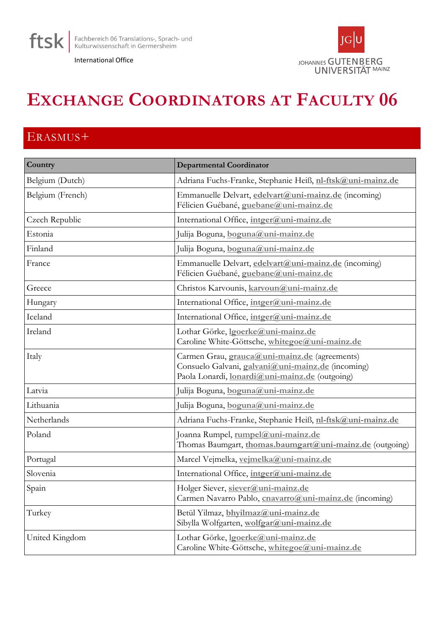





## **EXCHANGE COORDINATORS AT FACULTY 06**

## ERASMUS+

| Country          | <b>Departmental Coordinator</b>                                                                                                                             |
|------------------|-------------------------------------------------------------------------------------------------------------------------------------------------------------|
| Belgium (Dutch)  | Adriana Fuchs-Franke, Stephanie Heiß, nl-ftsk@uni-mainz.de                                                                                                  |
| Belgium (French) | Emmanuelle Delvart, edelvart@uni-mainz.de (incoming)<br>Félicien Guébané, guebane@uni-mainz.de                                                              |
| Czech Republic   | International Office, intger@uni-mainz.de                                                                                                                   |
| Estonia          | Julija Boguna, boguna@uni-mainz.de                                                                                                                          |
| Finland          | Julija Boguna, boguna@uni-mainz.de                                                                                                                          |
| France           | Emmanuelle Delvart, edelvart@uni-mainz.de (incoming)<br>Félicien Guébané, guebane@uni-mainz.de                                                              |
| Greece           | Christos Karvounis, karvoun@uni-mainz.de                                                                                                                    |
| Hungary          | International Office, intger@uni-mainz.de                                                                                                                   |
| Iceland          | International Office, intger@uni-mainz.de                                                                                                                   |
| Ireland          | Lothar Görke, lgoerke@uni-mainz.de<br>Caroline White-Göttsche, whitegoe@uni-mainz.de                                                                        |
| Italy            | Carmen Grau, <i>grauca@uni-mainz.de</i> (agreements)<br>Consuelo Galvani, galvani@uni-mainz.de (incoming)<br>Paola Lonardi, lonardi@uni-mainz.de (outgoing) |
| Latvia           | Julija Boguna, boguna@uni-mainz.de                                                                                                                          |
| Lithuania        | Julija Boguna, boguna@uni-mainz.de                                                                                                                          |
| Netherlands      | Adriana Fuchs-Franke, Stephanie Heiß, nl-ftsk@uni-mainz.de                                                                                                  |
| Poland           | Joanna Rumpel, rumpel@uni-mainz.de<br>Thomas Baumgart, thomas.baumgart@uni-mainz.de (outgoing)                                                              |
| Portugal         | Marcel Vejmelka, vejmelka@uni-mainz.de                                                                                                                      |
| Slovenia         | International Office, intger@uni-mainz.de                                                                                                                   |
| Spain            | Holger Siever, siever@uni-mainz.de<br>Carmen Navarro Pablo, cnavarro@uni-mainz.de (incoming)                                                                |
| Turkey           | Betül Yilmaz, bhyilmaz@uni-mainz.de<br>Sibylla Wolfgarten, wolfgar@uni-mainz.de                                                                             |
| United Kingdom   | Lothar Görke, looerke@uni-mainz.de<br>Caroline White-Göttsche, whitegoe@uni-mainz.de                                                                        |